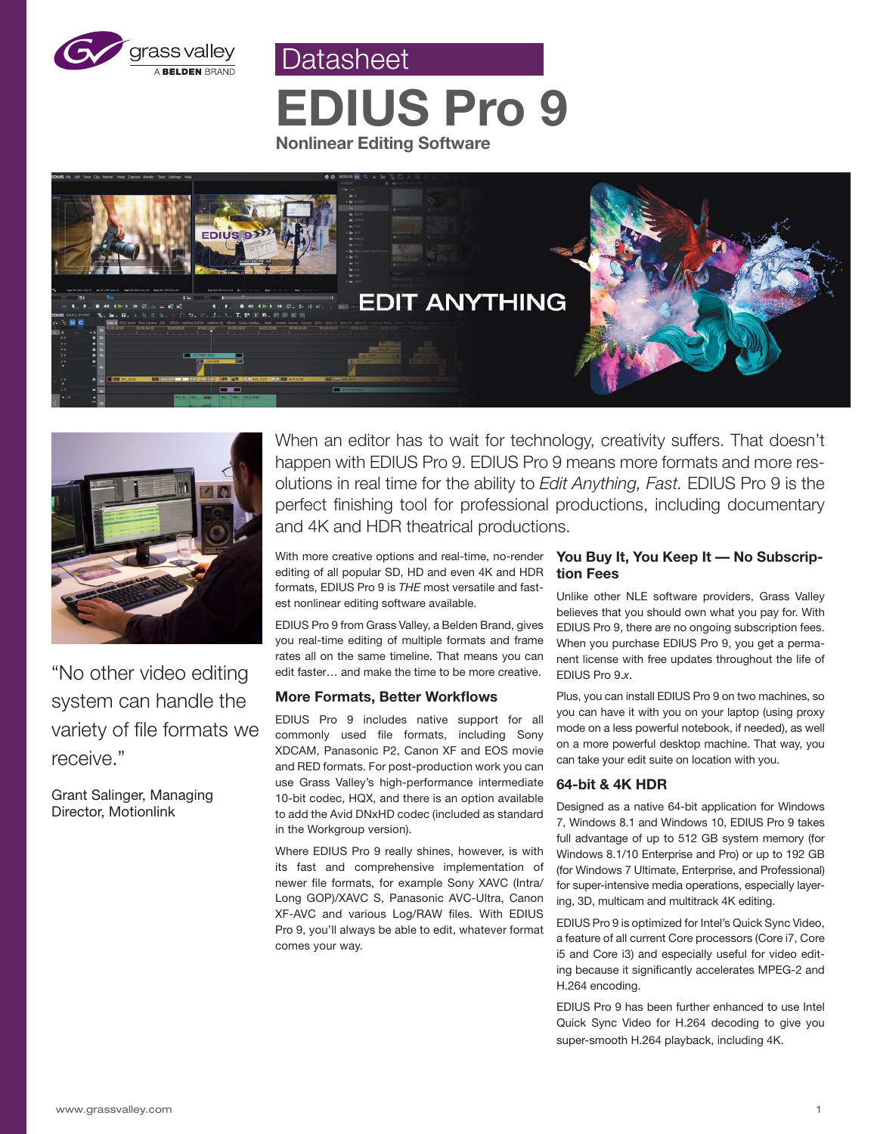

**EDIUS Pro 9 Nonlinear Editing Software**

Datasheet





"No other video editing system can handle the variety of file formats we receive."

Grant Salinger, Managing Director, Motionlink

When an editor has to wait for technology, creativity suffers. That doesn't happen with EDIUS Pro 9. EDIUS Pro 9 means more formats and more resolutions in real time for the ability to *Edit Anything, Fast.* EDIUS Pro 9 is the perfect finishing tool for professional productions, including documentary and 4K and HDR theatrical productions.

With more creative options and real-time, no-render editing of all popular SD, HD and even 4K and HDR formats, EDIUS Pro 9 is *THE* most versatile and fastest nonlinear editing software available.

EDIUS Pro 9 from Grass Valley, a Belden Brand, gives you real-time editing of multiple formats and frame rates all on the same timeline. That means you can edit faster… and make the time to be more creative.

## **More Formats, Better Workflows**

EDIUS Pro 9 includes native support for all commonly used file formats, including Sony XDCAM, Panasonic P2, Canon XF and EOS movie and RED formats. For post-production work you can use Grass Valley's high-performance intermediate 10-bit codec, HQX, and there is an option available to add the Avid DNxHD codec (included as standard in the Workgroup version).

Where EDIUS Pro 9 really shines, however, is with its fast and comprehensive implementation of newer file formats, for example Sony XAVC (Intra/ Long GOP)/XAVC S, Panasonic AVC-Ultra, Canon XF-AVC and various Log/RAW files. With EDIUS Pro 9, you'll always be able to edit, whatever format comes your way.

## **You Buy It, You Keep It — No Subscription Fees**

Unlike other NLE software providers, Grass Valley believes that you should own what you pay for. With EDIUS Pro 9, there are no ongoing subscription fees. When you purchase EDIUS Pro 9, you get a permanent license with free updates throughout the life of EDIUS Pro 9.*x*.

Plus, you can install EDIUS Pro 9 on two machines, so you can have it with you on your laptop (using proxy mode on a less powerful notebook, if needed), as well on a more powerful desktop machine. That way, you can take your edit suite on location with you.

## **64-bit & 4K HDR**

Designed as a native 64-bit application for Windows 7, Windows 8.1 and Windows 10, EDIUS Pro 9 takes full advantage of up to 512 GB system memory (for Windows 8.1/10 Enterprise and Pro) or up to 192 GB (for Windows 7 Ultimate, Enterprise, and Professional) for super-intensive media operations, especially layering, 3D, multicam and multitrack 4K editing.

EDIUS Pro 9 is optimized for Intel's Quick Sync Video, a feature of all current Core processors (Core i7, Core i5 and Core i3) and especially useful for video editing because it significantly accelerates MPEG-2 and H.264 encoding.

EDIUS Pro 9 has been further enhanced to use Intel Quick Sync Video for H.264 decoding to give you super-smooth H.264 playback, including 4K.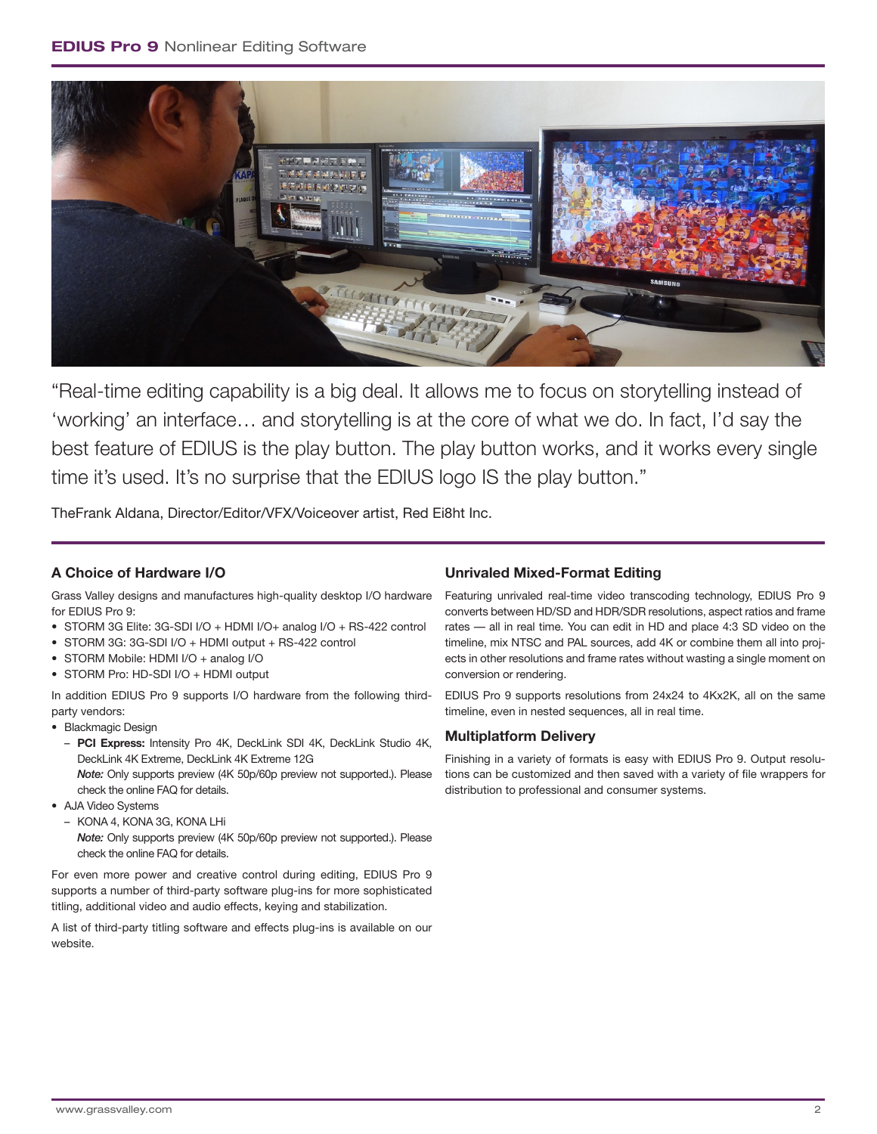

"Real-time editing capability is a big deal. It allows me to focus on storytelling instead of 'working' an interface… and storytelling is at the core of what we do. In fact, I'd say the best feature of EDIUS is the play button. The play button works, and it works every single time it's used. It's no surprise that the EDIUS logo IS the play button."

TheFrank Aldana, Director/Editor/VFX/Voiceover artist, Red Ei8ht Inc.

# **A Choice of Hardware I/O**

Grass Valley designs and manufactures high-quality desktop I/O hardware for EDIUS Pro 9:

- STORM 3G Elite: 3G-SDI I/O + HDMI I/O+ analog I/O + RS-422 control
- STORM 3G: 3G-SDI I/O + HDMI output + RS-422 control
- STORM Mobile: HDMI I/O + analog I/O
- STORM Pro: HD-SDI I/O + HDMI output

In addition EDIUS Pro 9 supports I/O hardware from the following thirdparty vendors:

- Blackmagic Design
	- **PCI Express:** Intensity Pro 4K, DeckLink SDI 4K, DeckLink Studio 4K, DeckLink 4K Extreme, DeckLink 4K Extreme 12G

*Note:* Only supports preview (4K 50p/60p preview not supported.). Please check the online FAQ for details.

- AJA Video Systems
- KONA 4, KONA 3G, KONA LHi
	- *Note:* Only supports preview (4K 50p/60p preview not supported.). Please check the online FAQ for details.

For even more power and creative control during editing, EDIUS Pro 9 supports a number of third-party software plug-ins for more sophisticated titling, additional video and audio effects, keying and stabilization.

A list of third-party titling software and effects plug-ins is available on our website.

# **Unrivaled Mixed-Format Editing**

Featuring unrivaled real-time video transcoding technology, EDIUS Pro 9 converts between HD/SD and HDR/SDR resolutions, aspect ratios and frame rates — all in real time. You can edit in HD and place 4:3 SD video on the timeline, mix NTSC and PAL sources, add 4K or combine them all into projects in other resolutions and frame rates without wasting a single moment on conversion or rendering.

EDIUS Pro 9 supports resolutions from 24x24 to 4Kx2K, all on the same timeline, even in nested sequences, all in real time.

# **Multiplatform Delivery**

Finishing in a variety of formats is easy with EDIUS Pro 9. Output resolutions can be customized and then saved with a variety of file wrappers for distribution to professional and consumer systems.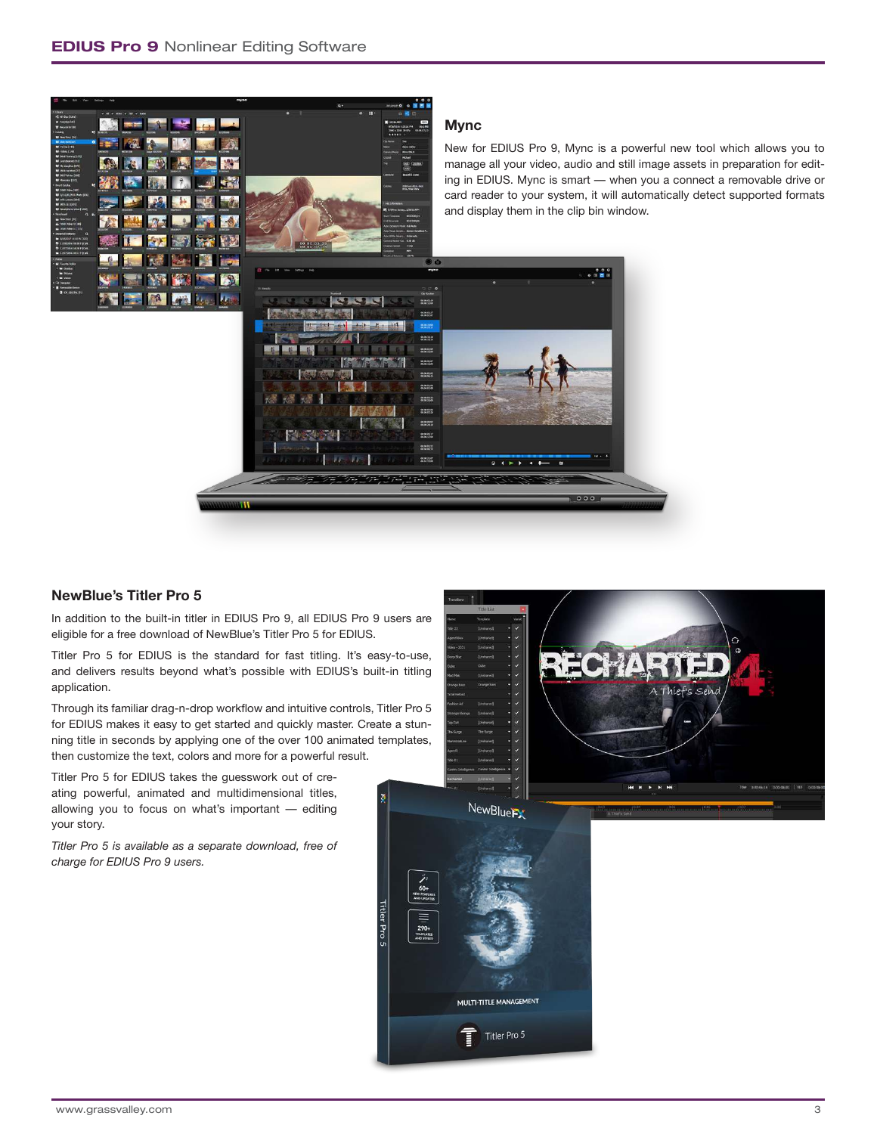

Titler Pro 5

## **NewBlue's Titler Pro 5**

In addition to the built-in titler in EDIUS Pro 9, all EDIUS Pro 9 users are eligible for a free download of NewBlue's Titler Pro 5 for EDIUS.

Titler Pro 5 for EDIUS is the standard for fast titling. It's easy-to-use, and delivers results beyond what's possible with EDIUS's built-in titling application.

Through its familiar drag-n-drop workflow and intuitive controls, Titler Pro 5 for EDIUS makes it easy to get started and quickly master. Create a stunning title in seconds by applying one of the over 100 animated templates, then customize the text, colors and more for a powerful result.

Titler Pro 5 for EDIUS takes the guesswork out of creating powerful, animated and multidimensional titles, allowing you to focus on what's important — editing your story.

*Titler Pro 5 is available as a separate download, free of charge for EDIUS Pro 9 users.*

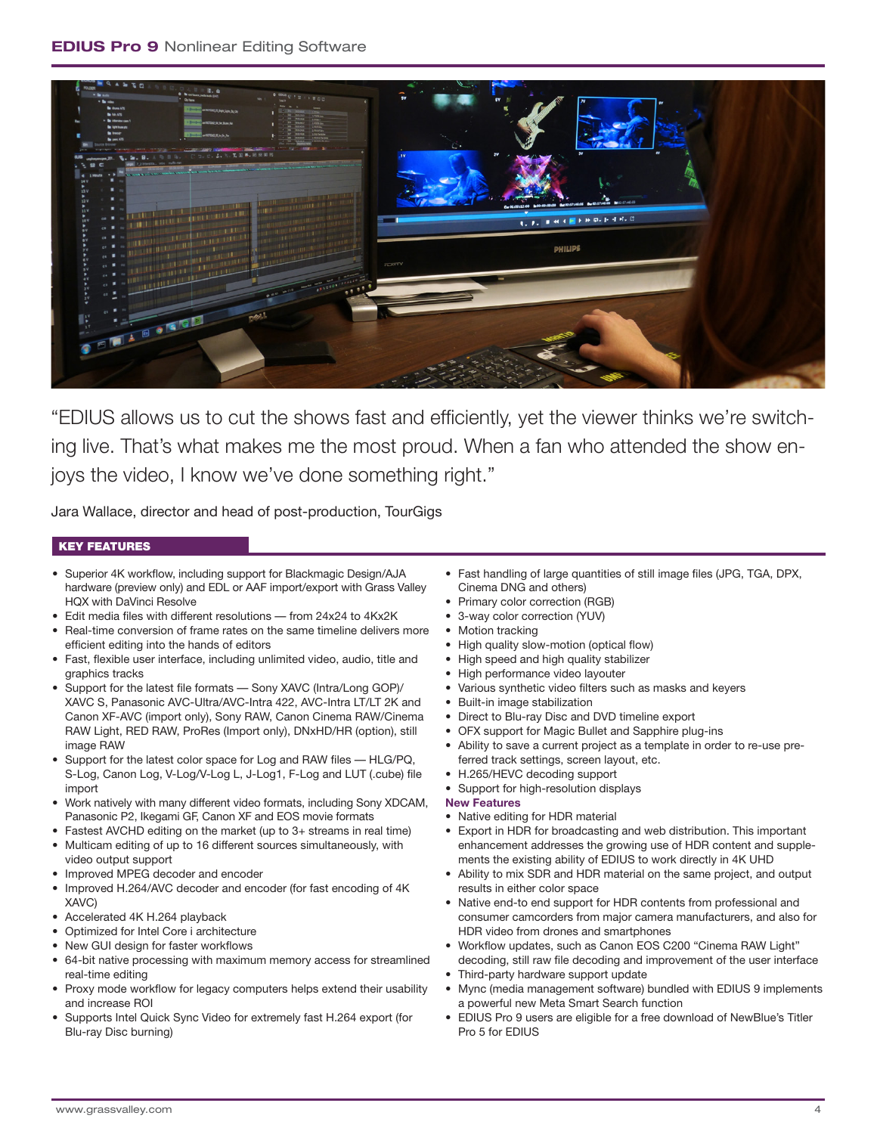

"EDIUS allows us to cut the shows fast and efficiently, yet the viewer thinks we're switching live. That's what makes me the most proud. When a fan who attended the show enjoys the video, I know we've done something right."

Jara Wallace, director and head of post-production, TourGigs

## KEY FEATURES

- Superior 4K workflow, including support for Blackmagic Design/AJA hardware (preview only) and EDL or AAF import/export with Grass Valley HQX with DaVinci Resolve
- Edit media files with different resolutions from 24x24 to 4Kx2K
- Real-time conversion of frame rates on the same timeline delivers more
- efficient editing into the hands of editors • Fast, flexible user interface, including unlimited video, audio, title and graphics tracks
- Support for the latest file formats Sony XAVC (Intra/Long GOP)/ XAVC S, Panasonic AVC-Ultra/AVC-Intra 422, AVC-Intra LT/LT 2K and Canon XF-AVC (import only), Sony RAW, Canon Cinema RAW/Cinema RAW Light, RED RAW, ProRes (Import only), DNxHD/HR (option), still image RAW
- Support for the latest color space for Log and RAW files HLG/PQ, S-Log, Canon Log, V-Log/V-Log L, J-Log1, F-Log and LUT (.cube) file import
- Work natively with many different video formats, including Sony XDCAM, Panasonic P2, Ikegami GF, Canon XF and EOS movie formats
- Fastest AVCHD editing on the market (up to 3+ streams in real time)
- Multicam editing of up to 16 different sources simultaneously, with video output support
- Improved MPEG decoder and encoder
- Improved H.264/AVC decoder and encoder (for fast encoding of 4K XAVC)
- Accelerated 4K H.264 playback
- Optimized for Intel Core i architecture
- New GUI design for faster workflows
- 64-bit native processing with maximum memory access for streamlined real-time editing
- Proxy mode workflow for legacy computers helps extend their usability and increase ROI
- Supports Intel Quick Sync Video for extremely fast H.264 export (for Blu-ray Disc burning)
- Fast handling of large quantities of still image files (JPG, TGA, DPX, Cinema DNG and others)
- Primary color correction (RGB)
- 3-way color correction (YUV)
- Motion tracking
- High quality slow-motion (optical flow)
- High speed and high quality stabilizer
- High performance video layouter
- Various synthetic video filters such as masks and keyers
- Built-in image stabilization
- Direct to Blu-ray Disc and DVD timeline export
- OFX support for Magic Bullet and Sapphire plug-ins
- Ability to save a current project as a template in order to re-use preferred track settings, screen layout, etc.
- H.265/HEVC decoding support
- Support for high-resolution displays

## **New Features**

- Native editing for HDR material
- Export in HDR for broadcasting and web distribution. This important enhancement addresses the growing use of HDR content and supplements the existing ability of EDIUS to work directly in 4K UHD
- Ability to mix SDR and HDR material on the same project, and output results in either color space
- Native end-to end support for HDR contents from professional and consumer camcorders from major camera manufacturers, and also for HDR video from drones and smartphones
- Workflow updates, such as Canon EOS C200 "Cinema RAW Light" decoding, still raw file decoding and improvement of the user interface
- Third-party hardware support update
- Mync (media management software) bundled with EDIUS 9 implements a powerful new Meta Smart Search function
- EDIUS Pro 9 users are eligible for a free download of NewBlue's Titler Pro 5 for EDIUS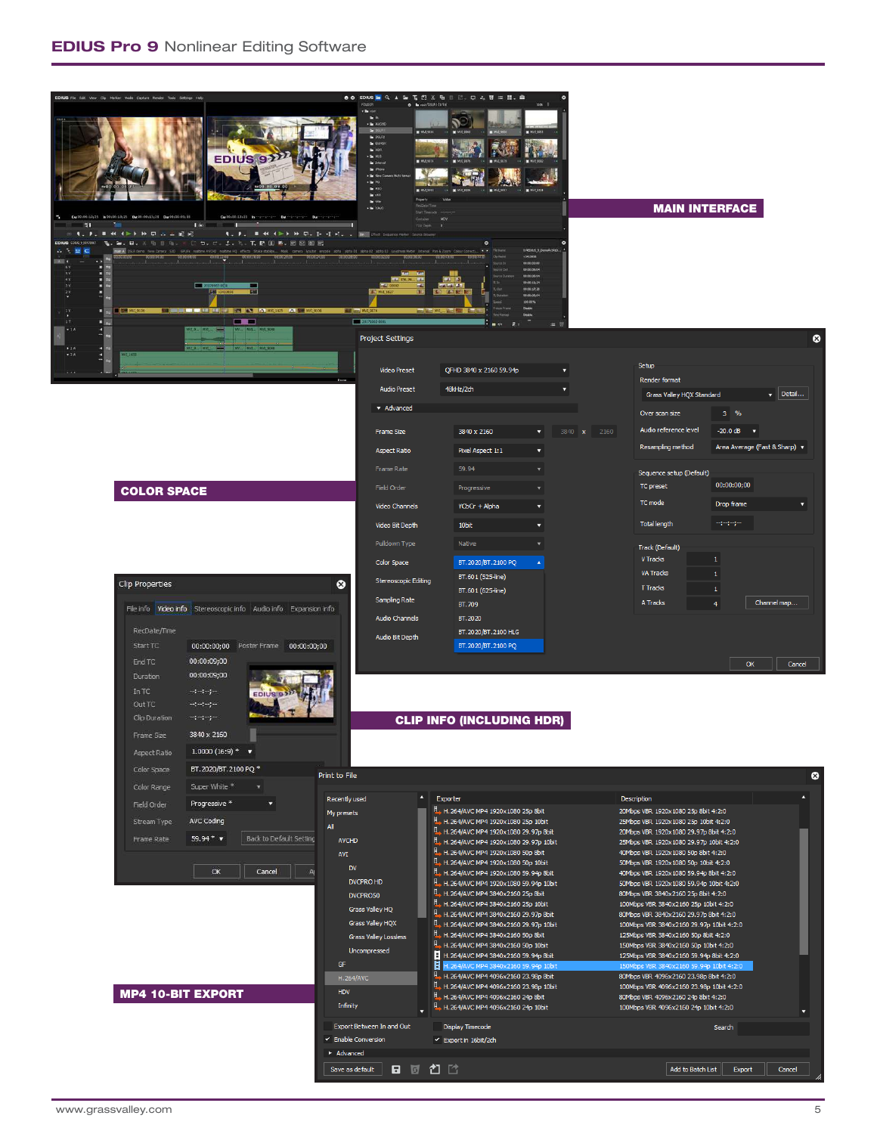